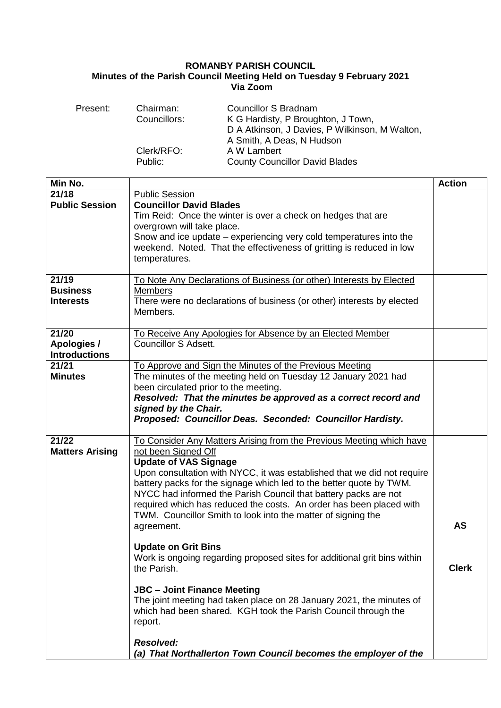## **ROMANBY PARISH COUNCIL Minutes of the Parish Council Meeting Held on Tuesday 9 February 2021 Via Zoom**

| Present:                                     | Chairman:<br>Councillors:<br>Clerk/RFO:<br>Public:                                                                                                                    | <b>Councillor S Bradnam</b><br>K G Hardisty, P Broughton, J Town,<br>D A Atkinson, J Davies, P Wilkinson, M Walton,<br>A Smith, A Deas, N Hudson<br>A W Lambert<br><b>County Councillor David Blades</b>                                                                                                                                                                                                                                                                                                     |               |
|----------------------------------------------|-----------------------------------------------------------------------------------------------------------------------------------------------------------------------|--------------------------------------------------------------------------------------------------------------------------------------------------------------------------------------------------------------------------------------------------------------------------------------------------------------------------------------------------------------------------------------------------------------------------------------------------------------------------------------------------------------|---------------|
| Min No.                                      |                                                                                                                                                                       |                                                                                                                                                                                                                                                                                                                                                                                                                                                                                                              |               |
| 21/18                                        | <b>Public Session</b>                                                                                                                                                 |                                                                                                                                                                                                                                                                                                                                                                                                                                                                                                              | <b>Action</b> |
| <b>Public Session</b>                        | <b>Councillor David Blades</b><br>overgrown will take place.<br>temperatures.                                                                                         | Tim Reid: Once the winter is over a check on hedges that are<br>Snow and ice update – experiencing very cold temperatures into the<br>weekend. Noted. That the effectiveness of gritting is reduced in low                                                                                                                                                                                                                                                                                                   |               |
| 21/19<br><b>Business</b><br>Interests        | To Note Any Declarations of Business (or other) Interests by Elected<br>Members<br>There were no declarations of business (or other) interests by elected<br>Members. |                                                                                                                                                                                                                                                                                                                                                                                                                                                                                                              |               |
| 21/20<br>Apologies /<br><b>Introductions</b> | <b>Councillor S Adsett.</b>                                                                                                                                           | To Receive Any Apologies for Absence by an Elected Member                                                                                                                                                                                                                                                                                                                                                                                                                                                    |               |
| 21/21<br><b>Minutes</b>                      | been circulated prior to the meeting.<br>signed by the Chair.                                                                                                         | To Approve and Sign the Minutes of the Previous Meeting<br>The minutes of the meeting held on Tuesday 12 January 2021 had<br>Resolved: That the minutes be approved as a correct record and<br>Proposed: Councillor Deas. Seconded: Councillor Hardisty.                                                                                                                                                                                                                                                     |               |
| 21/22<br><b>Matters Arising</b>              | not been Signed Off<br><b>Update of VAS Signage</b><br>agreement.<br><b>Update on Grit Bins</b>                                                                       | To Consider Any Matters Arising from the Previous Meeting which have<br>Upon consultation with NYCC, it was established that we did not require<br>battery packs for the signage which led to the better quote by TWM.<br>NYCC had informed the Parish Council that battery packs are not<br>required which has reduced the costs. An order has been placed with<br>TWM. Councillor Smith to look into the matter of signing the<br>Work is ongoing regarding proposed sites for additional grit bins within | <b>AS</b>     |
|                                              | the Parish.<br><b>JBC - Joint Finance Meeting</b><br>report.<br><b>Resolved:</b>                                                                                      | The joint meeting had taken place on 28 January 2021, the minutes of<br>which had been shared. KGH took the Parish Council through the<br>(a) That Northallerton Town Council becomes the employer of the                                                                                                                                                                                                                                                                                                    | <b>Clerk</b>  |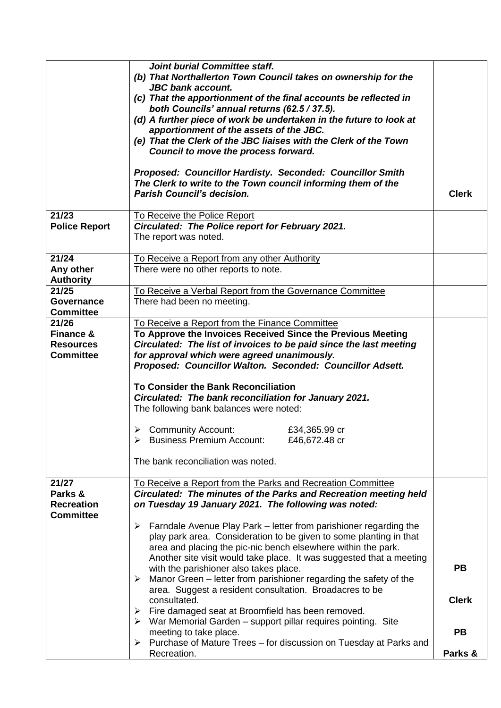|                                                                       | <b>Joint burial Committee staff.</b><br>(b) That Northallerton Town Council takes on ownership for the<br><b>JBC</b> bank account.<br>(c) That the apportionment of the final accounts be reflected in<br>both Councils' annual returns (62.5 / 37.5).<br>(d) A further piece of work be undertaken in the future to look at<br>apportionment of the assets of the JBC.<br>(e) That the Clerk of the JBC liaises with the Clerk of the Town<br>Council to move the process forward.<br>Proposed: Councillor Hardisty. Seconded: Councillor Smith<br>The Clerk to write to the Town council informing them of the<br><b>Parish Council's decision.</b> |              |  |
|-----------------------------------------------------------------------|-------------------------------------------------------------------------------------------------------------------------------------------------------------------------------------------------------------------------------------------------------------------------------------------------------------------------------------------------------------------------------------------------------------------------------------------------------------------------------------------------------------------------------------------------------------------------------------------------------------------------------------------------------|--------------|--|
|                                                                       |                                                                                                                                                                                                                                                                                                                                                                                                                                                                                                                                                                                                                                                       |              |  |
| 21/23<br><b>Police Report</b>                                         | To Receive the Police Report<br>Circulated: The Police report for February 2021.<br>The report was noted.                                                                                                                                                                                                                                                                                                                                                                                                                                                                                                                                             |              |  |
| 21/24<br>Any other                                                    | To Receive a Report from any other Authority<br>There were no other reports to note.                                                                                                                                                                                                                                                                                                                                                                                                                                                                                                                                                                  |              |  |
| <b>Authority</b><br>21/25                                             | To Receive a Verbal Report from the Governance Committee                                                                                                                                                                                                                                                                                                                                                                                                                                                                                                                                                                                              |              |  |
| <b>Governance</b><br><b>Committee</b>                                 | There had been no meeting.                                                                                                                                                                                                                                                                                                                                                                                                                                                                                                                                                                                                                            |              |  |
| 21/26<br><b>Finance &amp;</b><br><b>Resources</b><br><b>Committee</b> | To Receive a Report from the Finance Committee<br>To Approve the Invoices Received Since the Previous Meeting<br>Circulated: The list of invoices to be paid since the last meeting<br>for approval which were agreed unanimously.<br>Proposed: Councillor Walton. Seconded: Councillor Adsett.<br><b>To Consider the Bank Reconciliation</b><br>Circulated: The bank reconciliation for January 2021.<br>The following bank balances were noted:<br>$\triangleright$ Community Account:<br>£34,365.99 cr<br>> Business Premium Account:<br>£46,672.48 cr<br>The bank reconciliation was noted.                                                       |              |  |
| 21/27                                                                 | To Receive a Report from the Parks and Recreation Committee                                                                                                                                                                                                                                                                                                                                                                                                                                                                                                                                                                                           |              |  |
| Parks &<br><b>Recreation</b><br><b>Committee</b>                      | Circulated: The minutes of the Parks and Recreation meeting held<br>on Tuesday 19 January 2021. The following was noted:                                                                                                                                                                                                                                                                                                                                                                                                                                                                                                                              |              |  |
|                                                                       | Farndale Avenue Play Park – letter from parishioner regarding the<br>➤                                                                                                                                                                                                                                                                                                                                                                                                                                                                                                                                                                                |              |  |
|                                                                       | play park area. Consideration to be given to some planting in that<br>area and placing the pic-nic bench elsewhere within the park.                                                                                                                                                                                                                                                                                                                                                                                                                                                                                                                   |              |  |
|                                                                       | Another site visit would take place. It was suggested that a meeting                                                                                                                                                                                                                                                                                                                                                                                                                                                                                                                                                                                  |              |  |
|                                                                       | with the parishioner also takes place.                                                                                                                                                                                                                                                                                                                                                                                                                                                                                                                                                                                                                | <b>PB</b>    |  |
|                                                                       | $\triangleright$ Manor Green – letter from parishioner regarding the safety of the                                                                                                                                                                                                                                                                                                                                                                                                                                                                                                                                                                    |              |  |
|                                                                       | area. Suggest a resident consultation. Broadacres to be                                                                                                                                                                                                                                                                                                                                                                                                                                                                                                                                                                                               | <b>Clerk</b> |  |
|                                                                       | consultated.                                                                                                                                                                                                                                                                                                                                                                                                                                                                                                                                                                                                                                          |              |  |
|                                                                       | $\triangleright$ Fire damaged seat at Broomfield has been removed.<br>$\triangleright$ War Memorial Garden – support pillar requires pointing. Site                                                                                                                                                                                                                                                                                                                                                                                                                                                                                                   |              |  |
|                                                                       | meeting to take place.<br>Purchase of Mature Trees – for discussion on Tuesday at Parks and<br>➤                                                                                                                                                                                                                                                                                                                                                                                                                                                                                                                                                      | <b>PB</b>    |  |
|                                                                       | Recreation.                                                                                                                                                                                                                                                                                                                                                                                                                                                                                                                                                                                                                                           | Parks &      |  |